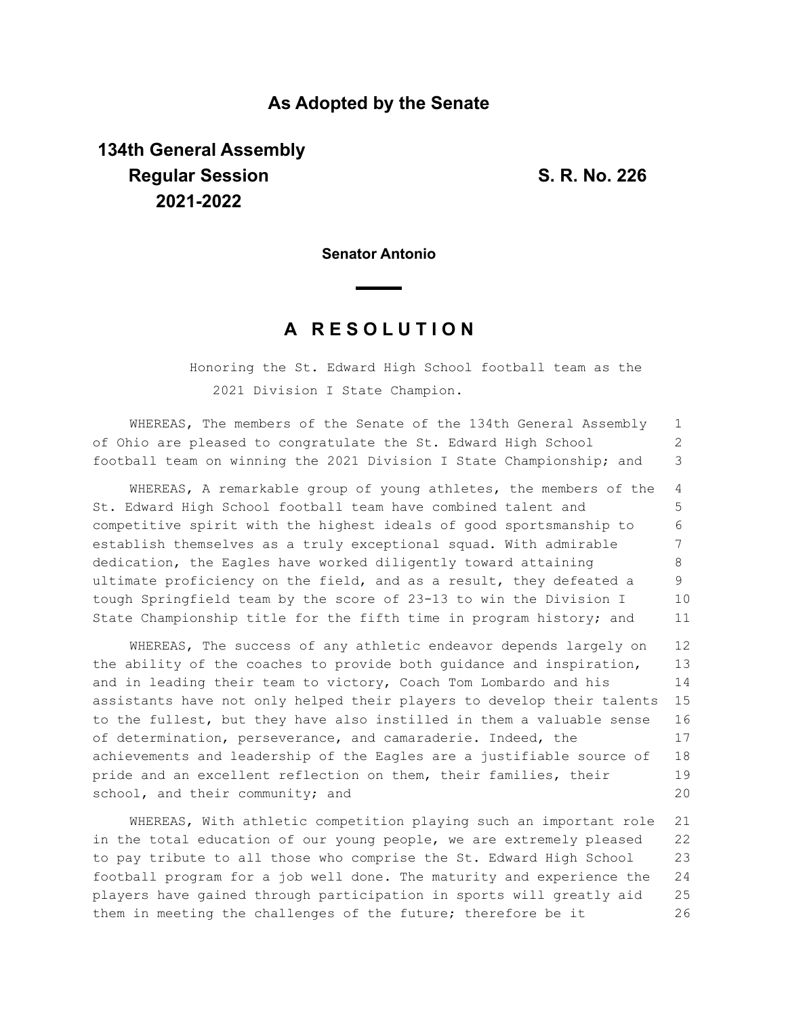## **As Adopted by the Senate**

## **134th General Assembly Regular Session S. R. No. 226 2021-2022**

**Senator Antonio**

## **A R E S O L U T I O N**

Honoring the St. Edward High School football team as the 2021 Division I State Champion.

WHEREAS, The members of the Senate of the 134th General Assembly of Ohio are pleased to congratulate the St. Edward High School football team on winning the 2021 Division I State Championship; and 1 2 3

WHEREAS, A remarkable group of young athletes, the members of the St. Edward High School football team have combined talent and competitive spirit with the highest ideals of good sportsmanship to establish themselves as a truly exceptional squad. With admirable dedication, the Eagles have worked diligently toward attaining ultimate proficiency on the field, and as a result, they defeated a tough Springfield team by the score of 23-13 to win the Division I State Championship title for the fifth time in program history; and 4 5 6 7 8 9 10 11

WHEREAS, The success of any athletic endeavor depends largely on the ability of the coaches to provide both guidance and inspiration, and in leading their team to victory, Coach Tom Lombardo and his assistants have not only helped their players to develop their talents to the fullest, but they have also instilled in them a valuable sense of determination, perseverance, and camaraderie. Indeed, the achievements and leadership of the Eagles are a justifiable source of pride and an excellent reflection on them, their families, their school, and their community; and 12 13 14 15 16 17 18 19 20

WHEREAS, With athletic competition playing such an important role in the total education of our young people, we are extremely pleased to pay tribute to all those who comprise the St. Edward High School football program for a job well done. The maturity and experience the players have gained through participation in sports will greatly aid them in meeting the challenges of the future; therefore be it 21 22 23 24 25 26